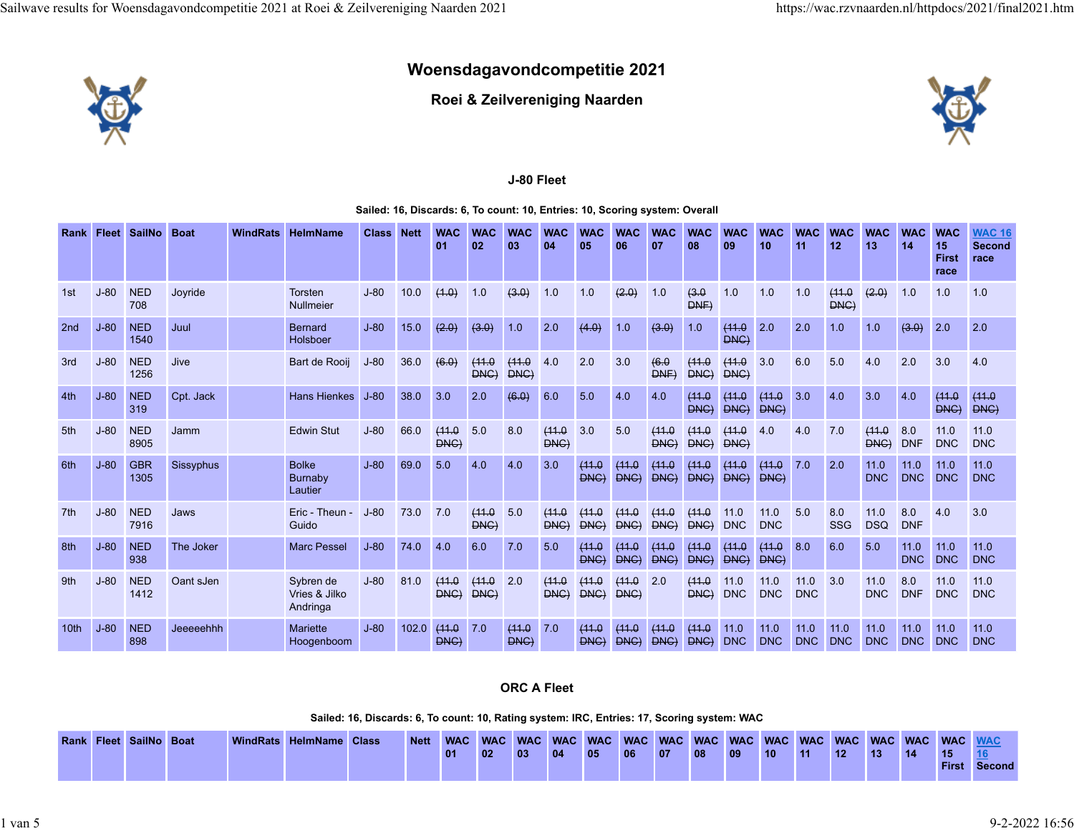# **Woensdagavondcompetitie 2021**



**Roei & Zeilvereniging Naarden**



# **J-80 Fleet**

#### **Sailed: 16, Discards: 6, To count: 10, Entries: 10, Scoring system: Overall**

| Rank             | <b>Fleet</b> | <b>SailNo</b>      | <b>Boat</b> | <b>WindRats</b> | <b>HelmName</b>                        | <b>Class</b> | <b>Nett</b> | <b>WAC</b><br>01    | <b>WAC</b><br>02 | <b>WAC</b><br>03 | <b>WAC</b><br>04 | <b>WAC</b><br>05          | <b>WAC</b><br>06 | <b>WAC</b><br>07              | <b>WAC</b><br>08    | <b>WAC</b><br>09   | <b>WAC</b><br>10   | <b>WAC</b><br>11   | <b>WAC</b><br>12    | <b>WAC</b><br>13   | <b>WAC</b><br>14   | <b>WAC</b><br>15<br><b>First</b><br>race | <b>WAC 16</b><br><b>Second</b><br>race |
|------------------|--------------|--------------------|-------------|-----------------|----------------------------------------|--------------|-------------|---------------------|------------------|------------------|------------------|---------------------------|------------------|-------------------------------|---------------------|--------------------|--------------------|--------------------|---------------------|--------------------|--------------------|------------------------------------------|----------------------------------------|
| 1st              | $J-80$       | <b>NED</b><br>708  | Joyride     |                 | <b>Torsten</b><br><b>Nullmeier</b>     | $J-80$       | 10.0        | (4.0)               | 1.0              | (3.0)            | 1.0              | 1.0                       | (2.0)            | 1.0                           | 43.0<br><b>DNF</b>  | 1.0                | 1.0                | 1.0                | (11.0<br><b>DNG</b> | (2.0)              | 1.0                | 1.0                                      | 1.0                                    |
| 2 <sub>nd</sub>  | $J-80$       | <b>NED</b><br>1540 | Juul        |                 | <b>Bernard</b><br>Holsboer             | $J-80$       | 15.0        | (2.0)               | (3.0)            | 1.0              | 2.0              | (4.0)                     | 1.0              | (3.0)                         | 1.0                 | (11.0)<br>DNC      | 2.0                | 2.0                | 1.0                 | 1.0                | (3.0)              | 2.0                                      | 2.0                                    |
| 3rd              | $J-80$       | <b>NED</b><br>1256 | Jive        |                 | Bart de Rooij                          | $J-80$       | 36.0        | (6.0)               | (11.0<br>DNC     | (11.0<br>DNC)    | 4.0              | 2.0                       | 3.0              | 46.0<br>DNF                   | (11.0<br>DNC        | (11.0)<br>DNC)     | 3.0                | 6.0                | 5.0                 | 4.0                | 2.0                | 3.0                                      | 4.0                                    |
| 4th              | $J-80$       | <b>NED</b><br>319  | Cpt. Jack   |                 | <b>Hans Hienkes</b>                    | $J-80$       | 38.0        | 3.0                 | 2.0              | (6.0)            | 6.0              | 5.0                       | 4.0              | 4.0                           | (11.0<br>DNC        | (11.0<br>DNC)      | (11.0<br>DNC)      | 3.0                | 4.0                 | 3.0                | 4.0                | (11.0<br>DNC)                            | (11.0<br>DNC)                          |
| 5th              | $J-80$       | <b>NED</b><br>8905 | Jamm        |                 | <b>Edwin Stut</b>                      | $J-80$       | 66.0        | (11.0<br><b>DNG</b> | 5.0              | 8.0              | (11.0<br>DNC     | 3.0                       | 5.0              | (11.0<br>DNC                  | (11.0<br>DNC        | (11.0<br>DNG)      | 4.0                | 4.0                | 7.0                 | (11.0<br>DNG)      | 8.0<br><b>DNF</b>  | 11.0<br><b>DNC</b>                       | 11.0<br><b>DNC</b>                     |
| 6th              | $J-80$       | <b>GBR</b><br>1305 | Sissyphus   |                 | <b>Bolke</b><br>Burnaby<br>Lautier     | $J-80$       | 69.0        | 5.0                 | 4.0              | 4.0              | 3.0              | (11.0<br>PMC              | (11.0<br>DNC     | (11.0<br>$P$ HG $\rightarrow$ | (11.0<br>DNC        | (11.0<br>DNC       | (11.0<br>PNC       | 7.0                | 2.0                 | 11.0<br><b>DNC</b> | 11.0<br><b>DNC</b> | 11.0<br><b>DNC</b>                       | 11.0<br><b>DNC</b>                     |
| 7th              | $J-80$       | <b>NED</b><br>7916 | Jaws        |                 | Eric - Theun<br>Guido                  | $J-80$       | 73.0        | 7.0                 | (11.0<br>DNC)    | 5.0              | (11.0<br>DNC     | (11.0<br>DNC <sub>)</sub> | (11.0<br>DNC     | (11.0<br>DNC                  | (11.0<br>DNC        | 11.0<br><b>DNC</b> | 11.0<br><b>DNC</b> | 5.0                | 8.0<br>SSG          | 11.0<br><b>DSQ</b> | 8.0<br><b>DNF</b>  | 4.0                                      | 3.0                                    |
| 8th              | $J-80$       | <b>NED</b><br>938  | The Joker   |                 | <b>Marc Pessel</b>                     | $J-80$       | 74.0        | 4.0                 | 6.0              | 7.0              | 5.0              | (11.0<br><b>DNC</b>       | (11.0<br>DNC)    | (11.0<br>DNC                  | (11.0<br>DNC)       | (11.0<br>DNC)      | (11.0)<br>DNC)     | 8.0                | 6.0                 | 5.0                | 11.0<br><b>DNC</b> | 11.0<br><b>DNC</b>                       | 11.0<br><b>DNC</b>                     |
| 9th              | $J-80$       | <b>NED</b><br>1412 | Oant sJen   |                 | Sybren de<br>Vries & Jilko<br>Andringa | $J-80$       | 81.0        | (11.0<br>DNC        | (11.0<br>DNC     | 2.0              | (11.0<br>DNC     | (11.0<br>DNC              | (11.0<br>DNC     | 2.0                           | (11.0<br>DNC        | 11.0<br><b>DNC</b> | 11.0<br><b>DNC</b> | 11.0<br><b>DNC</b> | 3.0                 | 11.0<br><b>DNC</b> | 8.0<br><b>DNF</b>  | 11.0<br><b>DNC</b>                       | 11.0<br><b>DNC</b>                     |
| 10 <sub>th</sub> | $J-80$       | <b>NED</b><br>898  | Jeeeeehhh   |                 | <b>Mariette</b><br>Hoogenboom          | $J-80$       | 102.0       | (11.0<br><b>DNG</b> | 7.0              | (11.0<br>DNG     | 7.0              | (11.0)<br>DNC             | 44.0<br>DNC      | 44.0<br>DNC                   | (41.0<br>$P$ HG $P$ | 11.0<br><b>DNC</b> | 11.0<br><b>DNC</b> | 11.0<br><b>DNC</b> | 11.0<br><b>DNC</b>  | 11.0<br><b>DNC</b> | 11.0<br><b>DNC</b> | 11.0<br><b>DNC</b>                       | 11.0<br><b>DNC</b>                     |

## **ORC A Fleet**

**Sailed: 16, Discards: 6, To count: 10, Rating system: IRC, Entries: 17, Scoring system: WAC**

|  | Rank Fleet SailNo Boat |  | WindRats HelmName Class | <b>Nett</b> |    |                 |    |    |       |              |    |    |              |            |       |                  |              |    | <b>WAC</b> |                     |
|--|------------------------|--|-------------------------|-------------|----|-----------------|----|----|-------|--------------|----|----|--------------|------------|-------|------------------|--------------|----|------------|---------------------|
|  |                        |  |                         |             | 01 | 02 <sub>1</sub> | 03 | 04 | 41057 | $ 06\rangle$ | 07 | 08 | $ 09\rangle$ | $110^{-4}$ | $-11$ | 12 <sup>12</sup> | $ 13\rangle$ | 14 | <b>15</b>  |                     |
|  |                        |  |                         |             |    |                 |    |    |       |              |    |    |              |            |       |                  |              |    |            | <b>First Second</b> |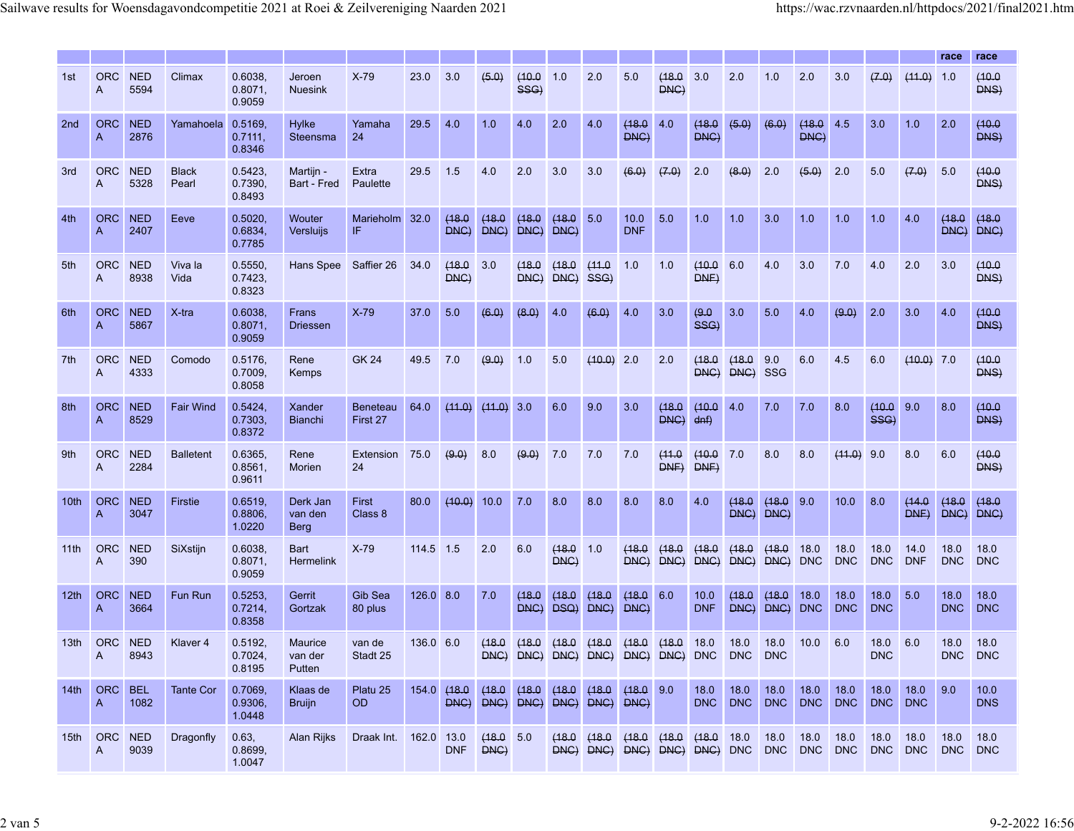|                  |                              |                    |                       |                              |                                    |                             |            |                |                   |                |                |                                              |                    |                |                    |                    |                     |                    |                             |                    |                    | race               | race               |
|------------------|------------------------------|--------------------|-----------------------|------------------------------|------------------------------------|-----------------------------|------------|----------------|-------------------|----------------|----------------|----------------------------------------------|--------------------|----------------|--------------------|--------------------|---------------------|--------------------|-----------------------------|--------------------|--------------------|--------------------|--------------------|
| 1st              | <b>ORC</b><br>A              | <b>NED</b><br>5594 | Climax                | 0.6038<br>0.8071,<br>0.9059  | Jeroen<br><b>Nuesink</b>           | $X-79$                      | 23.0       | 3.0            | (5.0)             | (10.0)<br>SSG) | 1.0            | 2.0                                          | 5.0                | (18.0)<br>DNC) | 3.0                | 2.0                | 1.0                 | 2.0                | 3.0                         | (7.0)              | (41.0)             | 1.0                | (10.0)<br>DNS)     |
| 2nd              | <b>ORC</b><br>A              | <b>NED</b><br>2876 | Yamahoela             | 0.5169,<br>0.7111,<br>0.8346 | <b>Hylke</b><br>Steensma           | Yamaha<br>24                | 29.5       | 4.0            | 1.0               | 4.0            | 2.0            | 4.0                                          | (18.0<br>DNC)      | 4.0            | (18.0)<br>DNC)     | (5.0)              | (6.0)               | (18.0)<br>DNC)     | 4.5                         | 3.0                | 1.0                | 2.0                | (10.0)<br>DNS)     |
| 3rd              | <b>ORC</b><br>A              | <b>NED</b><br>5328 | <b>Black</b><br>Pearl | 0.5423<br>0.7390,<br>0.8493  | Martijn<br>Bart - Fred             | Extra<br>Paulette           | 29.5       | 1.5            | 4.0               | 2.0            | 3.0            | 3.0                                          | (6.0)              | (7.0)          | 2.0                | (8.0)              | 2.0                 | (5.0)              | 2.0                         | 5.0                | (7.0)              | 5.0                | (10.0<br>DNS)      |
| 4th              | <b>ORC</b><br>A              | <b>NED</b><br>2407 | Eeve                  | 0.5020<br>0.6834<br>0.7785   | Wouter<br>Versluijs                | <b>Marieholm</b><br>IF      | 32.0       | (18.0)<br>DNC) | (18.0)<br>DNC)    | (18.0<br>DNC   | (18.0)<br>DNC) | 5.0                                          | 10.0<br><b>DNF</b> | 5.0            | 1.0                | 1.0                | 3.0                 | 1.0                | 1.0                         | 1.0                | 4.0                | (18.0<br>DNC       | (18.0<br>DNC)      |
| 5th              | <b>ORC</b><br>$\overline{A}$ | <b>NED</b><br>8938 | Viva la<br>Vida       | 0.5550,<br>0.7423,<br>0.8323 | Hans Spee                          | Saffier 26                  | 34.0       | (18.0)<br>DNC) | 3.0               | (18.0)<br>DNC) | (18.0)<br>DNC) | (11.0<br>SSG)                                | 1.0                | 1.0            | (10.0)<br>DNF      | 6.0                | 4.0                 | 3.0                | 7.0                         | 4.0                | 2.0                | 3.0                | (10.0)<br>DNS)     |
| 6th              | <b>ORC</b><br>A              | <b>NED</b><br>5867 | $X$ -tra              | 0.6038,<br>0.8071,<br>0.9059 | Frans<br><b>Driessen</b>           | $X-79$                      | 37.0       | 5.0            | (6.0)             | (8.0)          | 4.0            | (6.0)                                        | 4.0                | 3.0            | (9.0)<br>SSG)      | 3.0                | 5.0                 | 4.0                | (9.0)                       | 2.0                | 3.0                | 4.0                | (10.0)<br>DNS)     |
| 7th              | <b>ORC</b><br>$\overline{A}$ | <b>NED</b><br>4333 | Comodo                | 0.5176,<br>0.7009,<br>0.8058 | Rene<br>Kemps                      | <b>GK 24</b>                | 49.5       | 7.0            | (9.0)             | 1.0            | 5.0            | (10.0)                                       | 2.0                | 2.0            | (18.0)<br>DNC      | (18.0<br>DNC       | 9.0<br><b>SSG</b>   | 6.0                | 4.5                         | 6.0                | $(10.0)$ 7.0       |                    | (10.0<br>DNS)      |
| 8th              | <b>ORC</b><br>A              | <b>NED</b><br>8529 | <b>Fair Wind</b>      | 0.5424<br>0.7303,<br>0.8372  | Xander<br><b>Bianchi</b>           | <b>Beneteau</b><br>First 27 | 64.0       | (11.0)         | (11.0)            | 3.0            | 6.0            | 9.0                                          | 3.0                | (18.0)<br>DNC) | (10.0)<br>$d$ nf)  | 4.0                | 7.0                 | 7.0                | 8.0                         | (10.0)<br>SSG)     | 9.0                | 8.0                | (10.0<br>DNS)      |
| 9 <sub>th</sub>  | <b>ORC</b><br>A              | <b>NED</b><br>2284 | <b>Balletent</b>      | 0.6365<br>0.8561<br>0.9611   | Rene<br>Morien                     | Extension<br>24             | 75.0       | (9.0)          | 8.0               | (9.0)          | 7.0            | 7.0                                          | 7.0                | (11.0<br>DNE   | (10.0)<br>DNE      | 7.0                | 8.0                 | 8.0                | (11.0)                      | 9.0                | 8.0                | 6.0                | (10.0<br>DNS)      |
| 10 <sub>th</sub> | <b>ORC</b><br>A              | <b>NED</b><br>3047 | <b>Firstie</b>        | 0.6519,<br>0.8806<br>1.0220  | Derk Jan<br>van den<br><b>Berg</b> | First<br>Class 8            | 80.0       | (10.0)         | 10.0              | 7.0            | 8.0            | 8.0                                          | 8.0                | 8.0            | 4.0                | (18.0)<br>DNC)     | (18.0)<br>DNC)      | 9.0                | 10.0                        | 8.0                | (14.0<br>DNE       | (18.0)<br>DNC      | (18.0<br>DNC)      |
| 11th             | <b>ORC</b><br>A              | <b>NED</b><br>390  | SiXstijn              | 0.6038<br>0.8071,<br>0.9059  | Bart<br><b>Hermelink</b>           | $X-79$                      | 114.5      | 1.5            | 2.0               | 6.0            | (18.0)<br>DNC) | 1.0                                          | (18.0<br>DNC       | (18.0)<br>DNC  | (18.0<br>DNC       | (18.0<br>DNC)      | (18.0<br>DNC        | 18.0<br><b>DNC</b> | 18.0<br><b>DNC</b>          | 18.0<br><b>DNC</b> | 14.0<br><b>DNF</b> | 18.0<br><b>DNC</b> | 18.0<br><b>DNC</b> |
| 12 <sub>th</sub> | <b>ORC</b><br>A              | <b>NED</b><br>3664 | <b>Fun Run</b>        | 0.5253<br>0.7214,<br>0.8358  | Gerrit<br>Gortzak                  | Gib Sea<br>80 plus          | 126.0      | 8.0            | 7.0               | (18.0)<br>DNC  | (18.0)<br>DSQ) | (18.0<br>DNC)                                | (18.0)<br>DNC)     | 6.0            | 10.0<br><b>DNF</b> | (18.0)<br>DNC)     | (18.0)<br>DNC)      | 18.0<br><b>DNC</b> | 18.0<br><b>DNC</b>          | 18.0<br><b>DNC</b> | 5.0                | 18.0<br><b>DNC</b> | 18.0<br><b>DNC</b> |
| 13 <sub>th</sub> | <b>ORC</b><br>A              | <b>NED</b><br>8943 | Klaver <sub>4</sub>   | 0.5192,<br>0.7024<br>0.8195  | Maurice<br>van der<br>Putten       | van de<br>Stadt 25          | 136.0 6.0  |                | (18.0)<br>DNC)    | (18.0<br>DNC)  | (18.0)<br>DNC) | (18.0<br>DNC                                 | (18.0<br>DNC)      | (18.0<br>DNC)  | 18.0<br><b>DNC</b> | 18.0<br><b>DNC</b> | 18.0<br><b>DNC</b>  | 10.0               | 6.0                         | 18.0<br><b>DNC</b> | 6.0                | 18.0<br><b>DNC</b> | 18.0<br><b>DNC</b> |
| 14th             | <b>ORC</b><br>$\mathsf{A}$   | <b>BEL</b><br>1082 | Tante Cor             | 0.7069,<br>0.9306,<br>1.0448 | Klaas de<br><b>Bruijn</b>          | Platu 25<br>OD.             | 154.0      | (18.0)         | (18.0)            | (18.0)         | (18.0)         | (18.0<br>DNC) DNC) DNC) DNC) DNC) DNC)       | (18.0 9.0          |                | 18.0               | 18.0<br>DNC DNC    | 18.0<br>DNC DNC DNC | 18.0               | 18.0                        | 18.0<br>DNC DNC    | 18.0               | 9.0                | 10.0<br><b>DNS</b> |
|                  | 15th ORC<br>A                | <b>NED</b><br>9039 | Dragonfly             | 0.63,<br>0.8699,<br>1.0047   | Alan Rijks                         | Draak Int.                  | 162.0 13.0 | <b>DNF</b>     | (18.0 5.0<br>DNC) |                |                | (18.0)(18.0)<br>DNC) DNC) DNC) DNC) DNC) DNC | (18.0)             | (18.0)         | (18.0 18.0         |                    | 18.0                | 18.0               | 18.0<br>DNC DNC DNC DNC DNC | 18.0               | 18.0               | 18.0<br>DNC DNC    | 18.0               |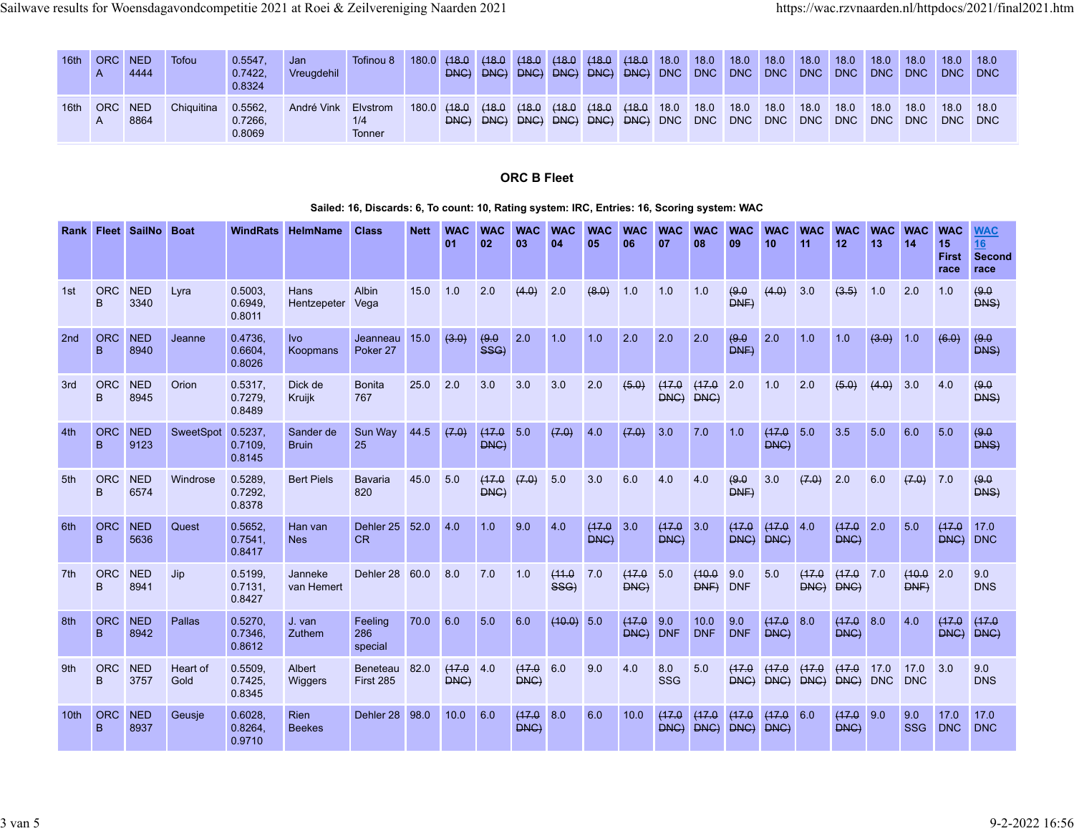| 16th | <b>ORC</b> | <b>NED</b><br>4444 | Tofou      | 0.5547.<br>0.7422.<br>0.8324 | Jan<br>Vreuadehil | Tofinou 8                 | 180.0 | (48.0)           | (18.0)<br>DNC) DNC) DNC) | (18.0)        | (18.0) | (18.0 (18.0 18.0<br>DNC) DNC) DNC) DNC DNC DNC DNC DNC DNC DNC DNC DNC               |  | 18.0 | $\blacksquare$ 18.0 | 18.0 | 18.0 | 18.0 | 18.0 | 18.0 | 18.0<br>DNC DNC | 18.0 |
|------|------------|--------------------|------------|------------------------------|-------------------|---------------------------|-------|------------------|--------------------------|---------------|--------|--------------------------------------------------------------------------------------|--|------|---------------------|------|------|------|------|------|-----------------|------|
| 16th | <b>ORC</b> | NED<br>8864        | Chiquitina | 0.5562.<br>0.7266.<br>0.8069 | André Vink        | Elvstrom<br>1/4<br>Tonner |       | $180.0$ $(18.0)$ | (18.0<br>DNC) DNC)       | (18.0<br>DNC) |        | $(18.0 \t(18.0 \t(18.0 \t18.0$<br>DNC) DNC) DNC) DNC DNC DNC DNC DNC DNC DNC DNC DNC |  | 18.0 | 18.0                | 18.0 | 18.0 | 18.0 | 18.0 | 18.0 | 18.0<br>DNC DNC | 18.0 |

# **ORC B Fleet**

## **Sailed: 16, Discards: 6, To count: 10, Rating system: IRC, Entries: 16, Scoring system: WAC**

| Rank             |                 | <b>Fleet SailNo</b> | <b>Boat</b>      | <b>WindRats</b>              | HelmName                     | <b>Class</b>              | <b>Nett</b> | <b>WAC</b><br>01 | <b>WAC</b><br>02 | <b>WAC</b><br>03 | <b>WAC</b><br>04 | <b>WAC</b><br>05 | <b>WAC</b><br>06  | <b>WAC</b><br>07   | <b>WAC</b><br>08    | <b>WAC</b><br>09  | <b>WAC</b><br>10 | <b>WAC</b><br>11 | <b>WAC</b><br>12  | <b>WAC</b><br>13 | <b>WAC</b><br>14   | <b>WAC</b><br>15<br><b>First</b><br>race | <b>WAC</b><br>16<br><b>Second</b><br>race |
|------------------|-----------------|---------------------|------------------|------------------------------|------------------------------|---------------------------|-------------|------------------|------------------|------------------|------------------|------------------|-------------------|--------------------|---------------------|-------------------|------------------|------------------|-------------------|------------------|--------------------|------------------------------------------|-------------------------------------------|
| 1st              | <b>ORC</b><br>B | <b>NED</b><br>3340  | Lyra             | 0.5003<br>0.6949,<br>0.8011  | Hans<br>Hentzepeter          | Albin<br>Vega             | 15.0        | 1.0              | 2.0              | (4.0)            | 2.0              | (8.0)            | 1.0               | 1.0                | 1.0                 | (9.0)<br>DNF      | (4.0)            | 3.0              | (3.5)             | 1.0              | 2.0                | 1.0                                      | (9.0<br>DNS)                              |
| 2nd              | <b>ORC</b><br>B | <b>NED</b><br>8940  | Jeanne           | 0.4736.<br>0.6604<br>0.8026  | Ivo<br>Koopmans              | Jeanneau<br>Poker 27      | 15.0        | (3.0)            | (9.0)<br>SSG     | 2.0              | 1.0              | 1.0              | 2.0               | 2.0                | 2.0                 | (9.0)<br>DNF      | 2.0              | 1.0              | 1.0               | (3.0)            | 1.0                | (6.0)                                    | (9.0)<br>DNS)                             |
| 3rd              | <b>ORC</b><br>B | <b>NED</b><br>8945  | Orion            | 0.5317,<br>0.7279.<br>0.8489 | Dick de<br>Kruijk            | <b>Bonita</b><br>767      | 25.0        | 2.0              | 3.0              | 3.0              | 3.0              | 2.0              | (5.0)             | (17.0<br>DNC) DNC) | (17.0               | 2.0               | 1.0              | 2.0              | (5.0)             | (4.0)            | 3.0                | 4.0                                      | (9.0)<br>DMS                              |
| 4th              | <b>ORC</b><br>B | <b>NED</b><br>9123  | SweetSpot        | 0.5237,<br>0.7109,<br>0.8145 | Sander de<br><b>Bruin</b>    | Sun Wav<br>25             | 44.5        | (7.0)            | (17.0)<br>DNC)   | 5.0              | (7.0)            | 4.0              | (7.0)             | 3.0                | 7.0                 | 1.0               | (17.0)<br>DNC)   | 5.0              | 3.5               | 5.0              | 6.0                | 5.0                                      | (9.0)<br>DNS)                             |
| 5th              | <b>ORC</b><br>B | <b>NED</b><br>6574  | Windrose         | 0.5289,<br>0.7292.<br>0.8378 | <b>Bert Piels</b>            | Bavaria<br>820            | 45.0        | 5.0              | (17.0<br>DNC)    | (7.0)            | 5.0              | 3.0              | 6.0               | 4.0                | 4.0                 | (9.0)<br>DNF      | 3.0              | (7.0)            | 2.0               | 6.0              | (7.0)              | 7.0                                      | (9.0)<br>DNS)                             |
| 6th              | <b>ORC</b><br>B | <b>NED</b><br>5636  | Quest            | 0.5652<br>0.7541,<br>0.8417  | Han van<br><b>Nes</b>        | Dehler 25<br>CR           | 52.0        | 4.0              | 1.0              | 9.0              | 4.0              | (17.0)<br>DNG)   | 3.0               | (17.0<br>DNC       | 3.0                 | (17.0)<br>DNC     | (17.0<br>DNG)    | 4.0              | (17.0)<br>DNG)    | 2.0              | 5.0                | (17.0)<br>DNG)                           | 17.0<br><b>DNC</b>                        |
| 7th              | <b>ORC</b><br>B | <b>NED</b><br>8941  | Jip              | 0.5199.<br>0.7131.<br>0.8427 | Janneke<br>van Hemert        | Dehler 28                 | 60.0        | 8.0              | 7.0              | 1.0              | (11.0<br>SSG)    | 7.0              | (17.0<br>DNC)     | 5.0                | (10.0<br><b>DNF</b> | 9.0<br><b>DNF</b> | 5.0              | (17.0<br>DNC)    | (17.0 7.0<br>DNC) |                  | (10.0)<br>DNF)     | 2.0                                      | 9.0<br><b>DNS</b>                         |
| 8th              | <b>ORC</b><br>B | <b>NED</b><br>8942  | <b>Pallas</b>    | 0.5270,<br>0.7346,<br>0.8612 | J. van<br>Zuthem             | Feeling<br>286<br>special | 70.0        | 6.0              | 5.0              | 6.0              | (10.0) 5.0       |                  | (17.0<br>DNG) DNF | 9.0                | 10.0<br><b>DNF</b>  | 9.0<br><b>DNF</b> | (17.0<br>DNC)    | 8.0              | (17.0 8.0<br>DNC  |                  | 4.0                | (17.0)<br>DNG) DNG)                      | (17.0                                     |
| 9th              | <b>ORC</b><br>B | <b>NED</b><br>3757  | Heart of<br>Gold | 0.5509<br>0.7425.<br>0.8345  | Albert<br>Wiggers            | Beneteau<br>First 285     | 82.0        | (17.0<br>DNG)    | 4.0              | (17.0<br>DNG)    | 6.0              | 9.0              | 4.0               | 8.0<br>SSG         | 5.0                 | (17.0<br>DNG)     | (17.0<br>DNC     | (17.0<br>DNC     | (17.0<br>DNC) DNC | 17.0             | 17.0<br><b>DNC</b> | 3.0                                      | 9.0<br><b>DNS</b>                         |
| 10 <sub>th</sub> | <b>ORC</b><br>B | <b>NED</b><br>8937  | Geusie           | 0.6028<br>0.8264,<br>0.9710  | <b>Rien</b><br><b>Beekes</b> | Dehler 28                 | 98.0        | 10.0             | 6.0              | (17.0)<br>DNC)   | 8.0              | 6.0              | 10.0              | (17.0<br>DNC       | (17.0<br>DNC        | (17.0<br>DNC)     | (17.0<br>DNC)    | 6.0              | (17.0 9.0<br>DNC) |                  | 9.0<br><b>SSG</b>  | 17.0<br><b>DNC</b>                       | 17.0<br><b>DNC</b>                        |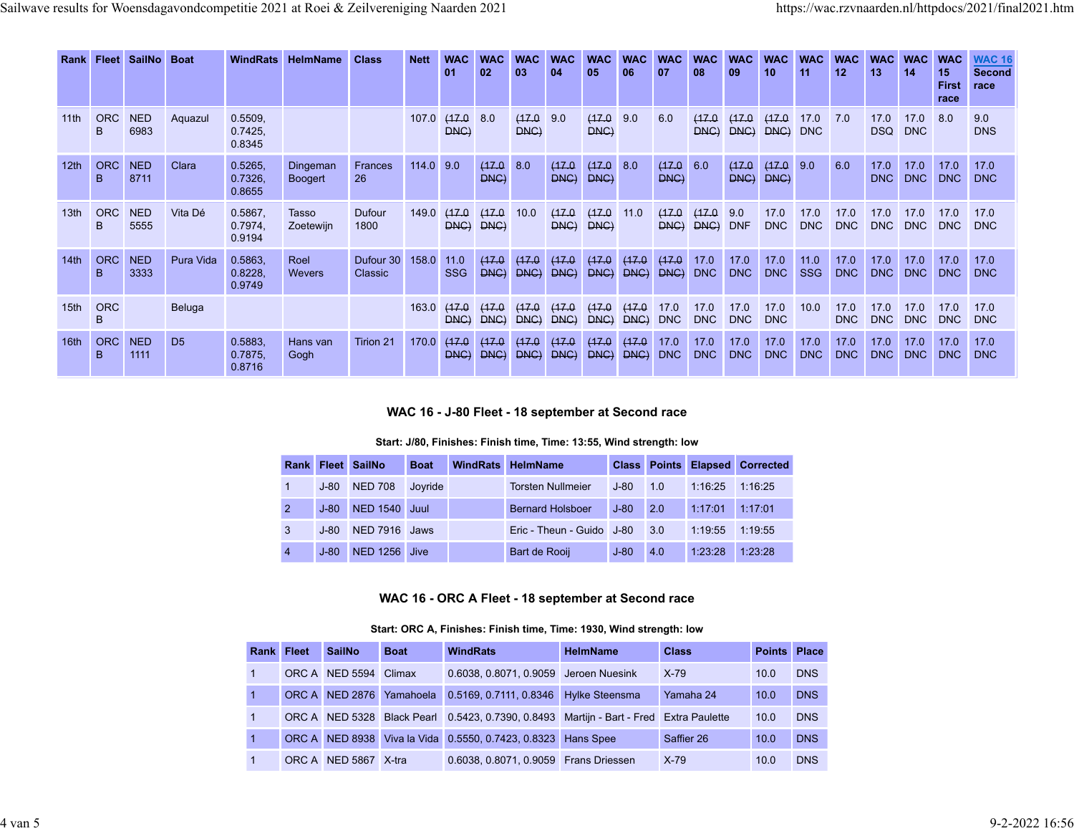| Rank             | <b>Fleet</b>    | SailNo Boat        |                | <b>WindRats</b>              | <b>HelmName</b>            | <b>Class</b>         | <b>Nett</b> | <b>WAC</b><br>01   | <b>WAC</b><br>02 | <b>WAC</b><br>03 | <b>WAC</b><br>04 | <b>WAC</b><br>05 | <b>WAC</b><br>06 | <b>WAC</b><br>07   | <b>WAC</b><br>08   | <b>WAC</b><br>09   | <b>WAC</b><br>10   | <b>WAC</b><br>11   | <b>WAC</b><br>12   | <b>WAC</b><br>13   | <b>WAC</b><br>14   | <b>WAC</b><br>15<br><b>First</b><br>race | <b>WAC 16</b><br><b>Second</b><br>race |
|------------------|-----------------|--------------------|----------------|------------------------------|----------------------------|----------------------|-------------|--------------------|------------------|------------------|------------------|------------------|------------------|--------------------|--------------------|--------------------|--------------------|--------------------|--------------------|--------------------|--------------------|------------------------------------------|----------------------------------------|
| 11 <sup>th</sup> | <b>ORC</b><br>B | <b>NED</b><br>6983 | Aquazul        | 0.5509,<br>0.7425.<br>0.8345 |                            |                      | 107.0       | (17.0<br>DNC)      | 8.0              | (17.0)<br>DNC)   | 9.0              | (17.0)<br>DNC)   | 9.0              | 6.0                | (17.0<br>DMC       | (17.0<br>DNC       | (17.0<br>DNC       | 17.0<br><b>DNC</b> | 7.0                | 17.0<br>DSQ        | 17.0<br><b>DNC</b> | 8.0                                      | 9.0<br><b>DNS</b>                      |
| 12 <sub>th</sub> | <b>ORC</b><br>B | <b>NED</b><br>8711 | Clara          | 0.5265.<br>0.7326,<br>0.8655 | Dingeman<br><b>Boogert</b> | <b>Frances</b><br>26 | 114.0       | 9.0                | (17.0)<br>DNC)   | 8.0              | (17.0<br>DNC)    | (17.0)<br>DNC    | 8.0              | (17.0)<br>DNC)     | 6.0                | (17.0)<br>DNC)     | (17.0)<br>DNC      | 9.0                | 6.0                | 17.0<br>DNC        | 17.0<br><b>DNC</b> | 17.0<br><b>DNC</b>                       | 17.0<br><b>DNC</b>                     |
| 13 <sub>th</sub> | <b>ORC</b><br>B | <b>NED</b><br>5555 | Vita Dé        | 0.5867.<br>0.7974,<br>0.9194 | Tasso<br>Zoetewijn         | Dufour<br>1800       | 149.0       | (17.0<br>DNC)      | (17.0<br>DNC     | 10.0             | (17.0<br>DNC)    | (17.0<br>DNC)    | 11.0             | (17.0<br>DNC       | (17.0<br>DNC       | 9.0<br><b>DNF</b>  | 17.0<br><b>DNC</b> | 17.0<br><b>DNC</b> | 17.0<br><b>DNC</b> | 17.0<br><b>DNC</b> | 17.0<br><b>DNC</b> | 17.0<br><b>DNC</b>                       | 17.0<br><b>DNC</b>                     |
| 14 <sub>th</sub> | <b>ORC</b><br>B | <b>NED</b><br>3333 | Pura Vida      | 0.5863.<br>0.8228,<br>0.9749 | Roel<br><b>Wevers</b>      | Dufour 30<br>Classic | 158.0       | 11.0<br><b>SSG</b> | (17.0)<br>DNC    | (17.0<br>DNC     | (17.0<br>DNC     | (17.0<br>DNC     | (17.0<br>DNC     | (17.0)<br>DNC      | 17.0<br><b>DNC</b> | 17.0<br><b>DNC</b> | 17.0<br><b>DNC</b> | 11.0<br><b>SSG</b> | 17.0<br><b>DNC</b> | 17.0<br><b>DNC</b> | 17.0<br><b>DNC</b> | 17.0<br><b>DNC</b>                       | 17.0<br><b>DNC</b>                     |
| 15th             | <b>ORC</b><br>B |                    | <b>Beluga</b>  |                              |                            |                      | 163.0       | (17.0<br>DNC       | (17.0<br>DNC     | (17.0<br>DNC     | (17.0<br>DNC     | (17.0<br>DNC     | (17.0<br>DNC     | 17.0<br><b>DNC</b> | 17.0<br><b>DNC</b> | 17.0<br><b>DNC</b> | 17.0<br><b>DNC</b> | 10.0               | 17.0<br><b>DNC</b> | 17.0<br><b>DNC</b> | 17.0<br><b>DNC</b> | 17.0<br><b>DNC</b>                       | 17.0<br><b>DNC</b>                     |
| 16th             | <b>ORC</b><br>B | <b>NED</b><br>1111 | D <sub>5</sub> | 0.5883,<br>0.7875,<br>0.8716 | Hans van<br>Gogh           | Tirion 21            | 170.0       | (17.0<br>DNC       | (17.0<br>DNC     | (17.0)<br>DNC    | (17.0<br>DNC     | (17.0)<br>DNC    | (17.0<br>DNC     | 17.0<br><b>DNC</b> | 17.0<br><b>DNC</b> | 17.0<br><b>DNC</b> | 17.0<br><b>DNC</b> | 17.0<br><b>DNC</b> | 17.0<br>DNC        | 17.0<br><b>DNC</b> | 17.0<br><b>DNC</b> | 17.0<br><b>DNC</b>                       | 17.0<br><b>DNC</b>                     |

## **WAC 16 - J-80 Fleet - 18 september at Second race**

## **Start: J/80, Finishes: Finish time, Time: 13:55, Wind strength: low**

|                |        | Rank Fleet SailNo    | <b>Boat</b> | <b>WindRats HelmName</b>  |        |     |                  | <b>Class Points Elapsed Corrected</b> |
|----------------|--------|----------------------|-------------|---------------------------|--------|-----|------------------|---------------------------------------|
|                | J-80   | <b>NED 708</b>       | Joyride     | <b>Torsten Nullmeier</b>  | $J-80$ | 1.0 | 1:16:25  1:16:25 |                                       |
| 2              | $J-80$ | <b>NED 1540 Juul</b> |             | <b>Bernard Holsboer</b>   | $J-80$ | 2.0 | 1:17:01          | 1:17:01                               |
| 3              | $J-80$ | NED 7916 Jaws        |             | Eric - Theun - Guido J-80 |        | 3.0 | 1:19:55          | 1:19:55                               |
| $\overline{4}$ | $J-80$ | NED 1256 Jive        |             | Bart de Rooij             | $J-80$ | 4.0 | 1:23:28          | 1.23.28                               |

## **WAC 16 - ORC A Fleet - 18 september at Second race**

#### **Start: ORC A, Finishes: Finish time, Time: 1930, Wind strength: low**

| Rank Fleet | <b>SailNo</b>         | <b>Boat</b> | <b>WindRats</b>                                                                        | <b>HelmName</b>       | <b>Class</b> | Points Place |            |
|------------|-----------------------|-------------|----------------------------------------------------------------------------------------|-----------------------|--------------|--------------|------------|
|            | ORC A NED 5594 Climax |             | 0.6038, 0.8071, 0.9059 Jeroen Nuesink                                                  |                       | $X-79$       | 10.0         | <b>DNS</b> |
|            | ORC A NED 2876        | Yamahoela   | 0.5169, 0.7111, 0.8346                                                                 | <b>Hylke Steensma</b> | Yamaha 24    | 10.0         | <b>DNS</b> |
|            |                       |             | ORC A NED 5328 Black Pearl 0.5423, 0.7390, 0.8493 Martijn - Bart - Fred Extra Paulette |                       |              | 10.0         | <b>DNS</b> |
|            |                       |             | ORC A NED 8938 Viva la Vida 0.5550, 0.7423, 0.8323 Hans Spee                           |                       | Saffier 26   | 10.0         | <b>DNS</b> |
|            | ORC A NED 5867 X-tra  |             | 0.6038, 0.8071, 0.9059 Frans Driessen                                                  |                       | $X-79$       | 10.0         | <b>DNS</b> |